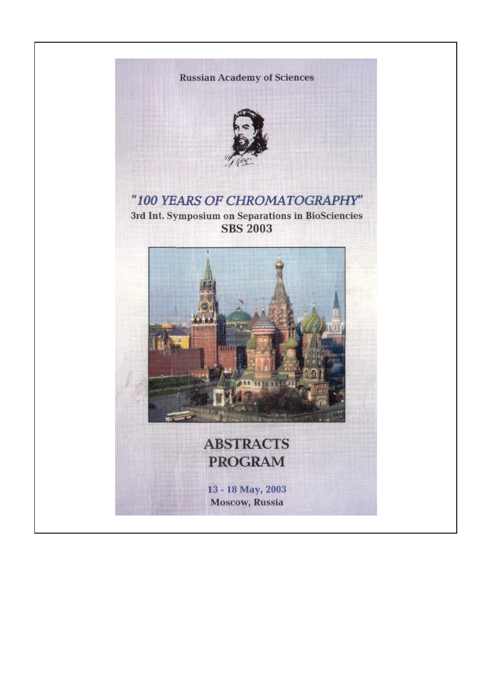